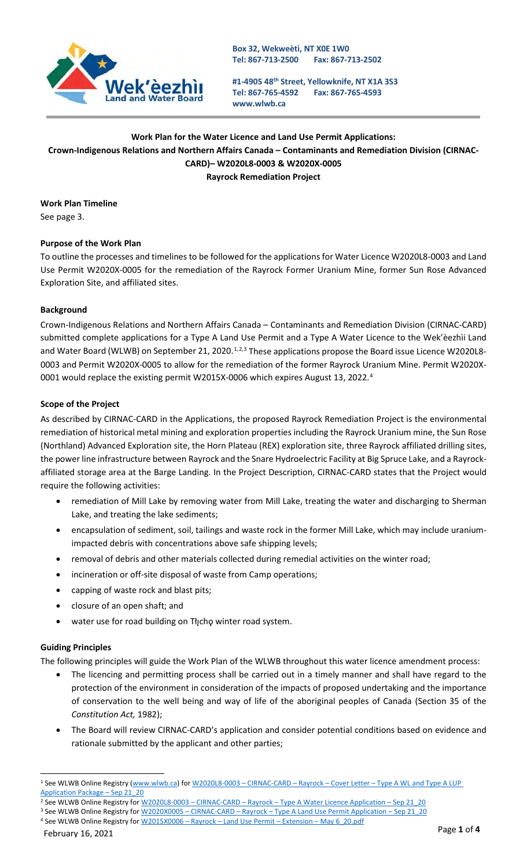

**#1-4905 48th Street, Yellowknife, NT X1A 3S3 Tel: 867-765-4592 [www.wlwb.ca](http://www.wlwb.ca/) Fax: 867-765-4593**

# **Work Plan for the Water Licence and Land Use Permit Applications: Crown-Indigenous Relations and Northern Affairs Canada – Contaminants and Remediation Division (CIRNAC-CARD)– W2020L8-0003 & W2020X-0005 Rayrock Remediation Project**

**Work Plan Timeline** See page 3.

# **Purpose of the Work Plan**

To outline the processes and timelines to be followed for the applications for Water Licence W2020L8-0003 and Land Use Permit W2020X-0005 for the remediation of the Rayrock Former Uranium Mine, former Sun Rose Advanced Exploration Site, and affiliated sites.

## **Background**

Crown-Indigenous Relations and Northern Affairs Canada – Contaminants and Remediation Division (CIRNAC-CARD) submitted complete applications for a Type A Land Use Permit and a Type A Water Licence to the Wek'èezhìi Land and Water Board (WLWB) on September 2[1](#page-0-0), [2](#page-0-1)020.<sup>1,2,[3](#page-0-2)</sup> These applications propose the Board issue Licence W2020L8-0003 and Permit W2020X-0005 to allow for the remediation of the former Rayrock Uranium Mine. Permit W2020X-0001 would replace the existing permit W2015X-0006 which expires August 13, 2022.<sup>[4](#page-0-3)</sup>

#### **Scope of the Project**

As described by CIRNAC-CARD in the Applications, the proposed Rayrock Remediation Project is the environmental remediation of historical metal mining and exploration properties including the Rayrock Uranium mine, the Sun Rose (Northland) Advanced Exploration site, the Horn Plateau (REX) exploration site, three Rayrock affiliated drilling sites, the power line infrastructure between Rayrock and the Snare Hydroelectric Facility at Big Spruce Lake, and a Rayrockaffiliated storage area at the Barge Landing. In the Project Description, CIRNAC-CARD states that the Project would require the following activities:

- remediation of Mill Lake by removing water from Mill Lake, treating the water and discharging to Sherman Lake, and treating the lake sediments;
- encapsulation of sediment, soil, tailings and waste rock in the former Mill Lake, which may include uraniumimpacted debris with concentrations above safe shipping levels;
- removal of debris and other materials collected during remedial activities on the winter road;
- incineration or off-site disposal of waste from Camp operations;
- capping of waste rock and blast pits;
- closure of an open shaft; and
- water use for road building on Tłįchę winter road system.

#### **Guiding Principles**

The following principles will guide the Work Plan of the WLWB throughout this water licence amendment process:

- The licencing and permitting process shall be carried out in a timely manner and shall have regard to the protection of the environment in consideration of the impacts of proposed undertaking and the importance of conservation to the well being and way of life of the aboriginal peoples of Canada (Section 35 of the *Constitution Act,* 1982);
- The Board will review CIRNAC-CARD's application and consider potential conditions based on evidence and rationale submitted by the applicant and other parties;

<span id="page-0-0"></span><sup>1</sup> See WLWB Online Registry [\(www.wlwb.ca\)](http://www.wlwb.ca/) for W2020L8-0003 – CIRNAC-CARD – Rayrock – Cover Letter – [Type A WL and Type A LUP](http://registry.mvlwb.ca/Documents/W2020L8-0003/W2020L8-0003%20-CIRNAC-CARD%20-%20Rayrock%20-%20%20Cover%20Letter%20-%20Type%20A%20WL%20and%20Type%20A%20LUP%20Application%20Package%20-%20Sep%2021_20.pdf)  [Application Package –](http://registry.mvlwb.ca/Documents/W2020L8-0003/W2020L8-0003%20-CIRNAC-CARD%20-%20Rayrock%20-%20%20Cover%20Letter%20-%20Type%20A%20WL%20and%20Type%20A%20LUP%20Application%20Package%20-%20Sep%2021_20.pdf) Sep 21\_20

<span id="page-0-1"></span><sup>&</sup>lt;sup>2</sup> See WLWB Online Registry for W2020L8-0003 - CIRNAC-CARD - Rayrock - Type A Water Licence Application - Sep 21\_20

<span id="page-0-3"></span><span id="page-0-2"></span><sup>3</sup> See WLWB Online Registry for W2020X0005 - CIRNAC-CARD - Rayrock - Type A Land Use Permit Application - Sep 21\_20 4 See WLWB Online Registry for W2015X0006 - Rayrock - Land Use Permit - Extension - May 6\_20.pdf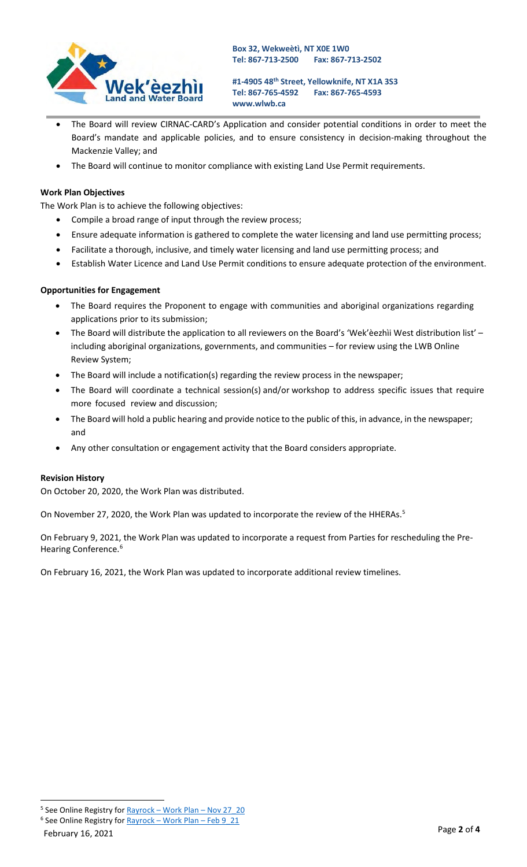

**#1-4905 48th Street, Yellowknife, NT X1A 3S3 Tel: 867-765-4592 [www.wlwb.ca](http://www.wlwb.ca/) Fax: 867-765-4593**

- The Board will review CIRNAC-CARD's Application and consider potential conditions in order to meet the Board's mandate and applicable policies, and to ensure consistency in decision-making throughout the Mackenzie Valley; and
- The Board will continue to monitor compliance with existing Land Use Permit requirements.

### **Work Plan Objectives**

The Work Plan is to achieve the following objectives:

- Compile a broad range of input through the review process;
- Ensure adequate information is gathered to complete the water licensing and land use permitting process;
- Facilitate a thorough, inclusive, and timely water licensing and land use permitting process; and
- Establish Water Licence and Land Use Permit conditions to ensure adequate protection of the environment.

#### **Opportunities for Engagement**

- The Board requires the Proponent to engage with communities and aboriginal organizations regarding applications prior to its submission;
- The Board will distribute the application to all reviewers on the Board's 'Wek'èezhìi West distribution list' including aboriginal organizations, governments, and communities – for review using the LWB Online Review System;
- The Board will include a notification(s) regarding the review process in the newspaper;
- The Board will coordinate a technical session(s) and/or workshop to address specific issues that require more focused review and discussion;
- The Board will hold a public hearing and provide notice to the public of this, in advance, in the newspaper; and
- Any other consultation or engagement activity that the Board considers appropriate.

#### **Revision History**

On October 20, 2020, the Work Plan was distributed.

On November 27, 2020, the Work Plan was updated to incorporate the review of the HHERAs.<sup>5</sup>

On February 9, 2021, the Work Plan was updated to incorporate a request from Parties for rescheduling the Pre-Hearing Conference.<sup>[6](#page-1-1)</sup>

On February 16, 2021, the Work Plan was updated to incorporate additional review timelines.

<span id="page-1-0"></span><sup>&</sup>lt;sup>5</sup> See Online Registry for **Rayrock** – [Work Plan –](http://registry.mvlwb.ca/Documents/W2020L8-0003/Rayrock%20-%20Work%20Plan%20-%20Nov%2027_20.pdf) Nov 27\_20

<span id="page-1-1"></span> $6$  See Online Registry for Rayrock – [Work Plan –](http://registry.mvlwb.ca/Documents/W2020L8-0003/Rayrock%20-%20Work%20Plan%20-%20Feb%209_21.pdf) Feb 9\_21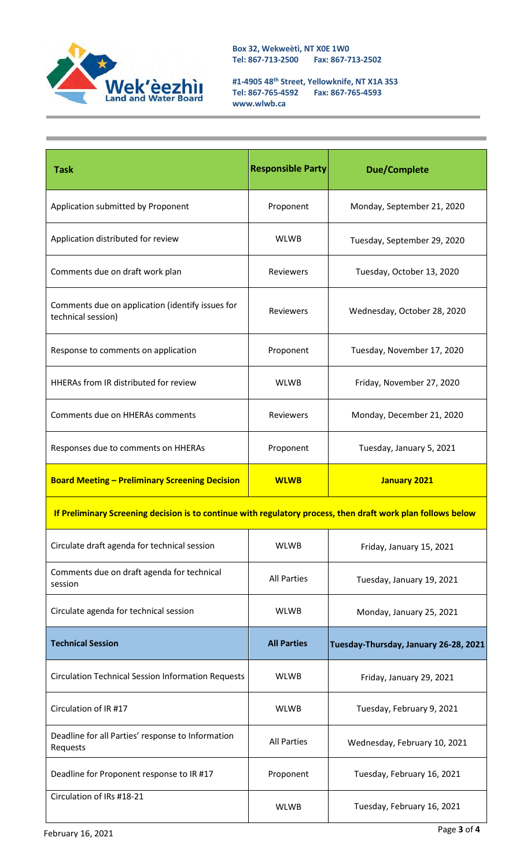

**#1-4905 48th Street, Yellowknife, NT X1A 3S3 Tel: 867-765-4592 Fax: 867-765-4593 [www.wlwb.ca](http://www.wlwb.ca/)**

| <b>Task</b>                                                                                                  | <b>Responsible Party</b> | <b>Due/Complete</b>                   |  |  |
|--------------------------------------------------------------------------------------------------------------|--------------------------|---------------------------------------|--|--|
| Application submitted by Proponent                                                                           | Proponent                | Monday, September 21, 2020            |  |  |
| Application distributed for review                                                                           | <b>WLWB</b>              | Tuesday, September 29, 2020           |  |  |
| Comments due on draft work plan                                                                              | Reviewers                | Tuesday, October 13, 2020             |  |  |
| Comments due on application (identify issues for<br>technical session)                                       | <b>Reviewers</b>         | Wednesday, October 28, 2020           |  |  |
| Response to comments on application                                                                          | Proponent                | Tuesday, November 17, 2020            |  |  |
| <b>HHERAs from IR distributed for review</b>                                                                 | <b>WLWB</b>              | Friday, November 27, 2020             |  |  |
| Comments due on HHERAs comments                                                                              | Reviewers                | Monday, December 21, 2020             |  |  |
| Responses due to comments on HHERAs                                                                          | Proponent                | Tuesday, January 5, 2021              |  |  |
| <b>Board Meeting - Preliminary Screening Decision</b>                                                        | <b>WLWB</b>              | <b>January 2021</b>                   |  |  |
| If Preliminary Screening decision is to continue with regulatory process, then draft work plan follows below |                          |                                       |  |  |
| Circulate draft agenda for technical session                                                                 | <b>WLWB</b>              | Friday, January 15, 2021              |  |  |
| Comments due on draft agenda for technical<br>session                                                        | <b>All Parties</b>       | Tuesday, January 19, 2021             |  |  |
| Circulate agenda for technical session                                                                       | <b>WLWB</b>              | Monday, January 25, 2021              |  |  |
| <b>Technical Session</b>                                                                                     | <b>All Parties</b>       | Tuesday-Thursday, January 26-28, 2021 |  |  |
| <b>Circulation Technical Session Information Requests</b>                                                    | <b>WLWB</b>              | Friday, January 29, 2021              |  |  |
| Circulation of IR #17                                                                                        | <b>WLWB</b>              | Tuesday, February 9, 2021             |  |  |
| Deadline for all Parties' response to Information<br>Requests                                                | <b>All Parties</b>       | Wednesday, February 10, 2021          |  |  |
| Deadline for Proponent response to IR #17                                                                    | Proponent                | Tuesday, February 16, 2021            |  |  |
| Circulation of IRs #18-21                                                                                    | <b>WLWB</b>              | Tuesday, February 16, 2021            |  |  |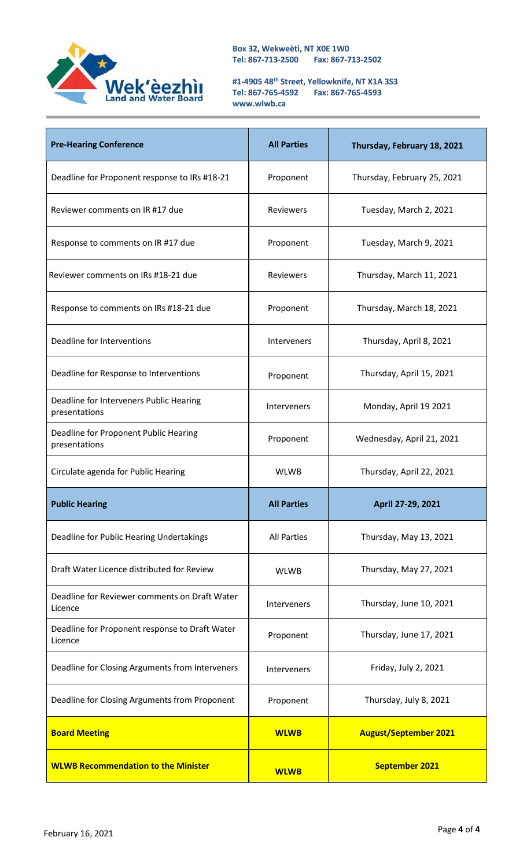

**#1-4905 48th Street, Yellowknife, NT X1A 3S3 Tel: 867-765-4592 Fax: 867-765-4593 [www.wlwb.ca](http://www.wlwb.ca/)**

| <b>Pre-Hearing Conference</b>                             | <b>All Parties</b> | Thursday, February 18, 2021  |
|-----------------------------------------------------------|--------------------|------------------------------|
| Deadline for Proponent response to IRs #18-21             | Proponent          | Thursday, February 25, 2021  |
| Reviewer comments on IR #17 due                           | <b>Reviewers</b>   | Tuesday, March 2, 2021       |
| Response to comments on IR #17 due                        | Proponent          | Tuesday, March 9, 2021       |
| Reviewer comments on IRs #18-21 due                       | <b>Reviewers</b>   | Thursday, March 11, 2021     |
| Response to comments on IRs #18-21 due                    | Proponent          | Thursday, March 18, 2021     |
| Deadline for Interventions                                | <b>Interveners</b> | Thursday, April 8, 2021      |
| Deadline for Response to Interventions                    | Proponent          | Thursday, April 15, 2021     |
| Deadline for Interveners Public Hearing<br>presentations  | Interveners        | Monday, April 19 2021        |
| Deadline for Proponent Public Hearing<br>presentations    | Proponent          | Wednesday, April 21, 2021    |
| Circulate agenda for Public Hearing                       | <b>WLWB</b>        | Thursday, April 22, 2021     |
| <b>Public Hearing</b>                                     | <b>All Parties</b> | April 27-29, 2021            |
| Deadline for Public Hearing Undertakings                  | <b>All Parties</b> | Thursday, May 13, 2021       |
| Draft Water Licence distributed for Review                | <b>WLWB</b>        | Thursday, May 27, 2021       |
| Deadline for Reviewer comments on Draft Water<br>Licence  | <b>Interveners</b> | Thursday, June 10, 2021      |
| Deadline for Proponent response to Draft Water<br>Licence | Proponent          | Thursday, June 17, 2021      |
| Deadline for Closing Arguments from Interveners           | Interveners        | Friday, July 2, 2021         |
| Deadline for Closing Arguments from Proponent             | Proponent          | Thursday, July 8, 2021       |
| <b>Board Meeting</b>                                      | <b>WLWB</b>        | <b>August/September 2021</b> |
| <b>WLWB Recommendation to the Minister</b>                | <b>WLWB</b>        | <b>September 2021</b>        |